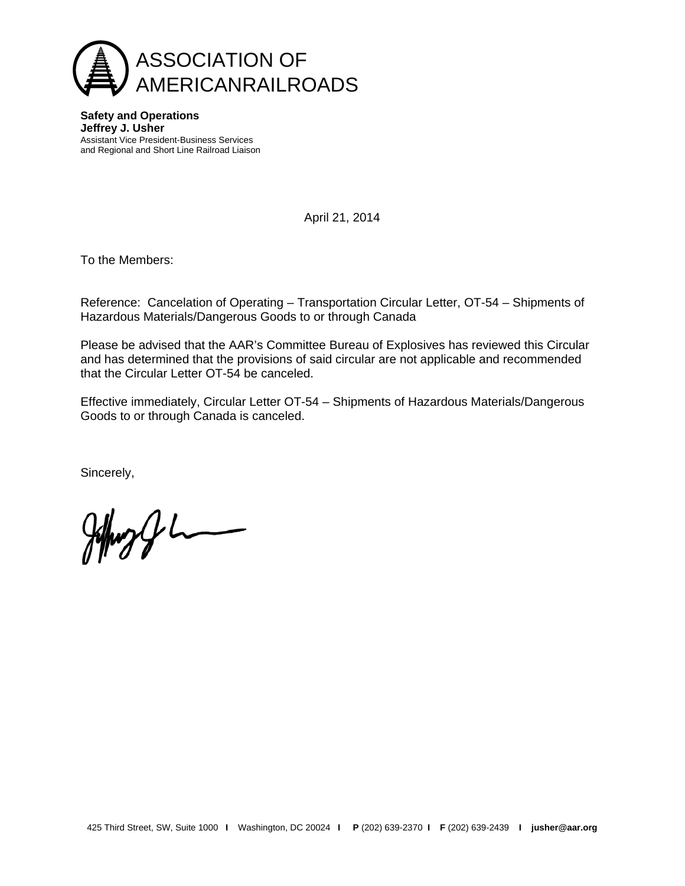

**Safety and Operations Jeffrey J. Usher** Assistant Vice President-Business Services and Regional and Short Line Railroad Liaison

April 21, 2014

To the Members:

Reference: Cancelation of Operating – Transportation Circular Letter, OT-54 – Shipments of Hazardous Materials/Dangerous Goods to or through Canada

Please be advised that the AAR's Committee Bureau of Explosives has reviewed this Circular and has determined that the provisions of said circular are not applicable and recommended that the Circular Letter OT-54 be canceled.

Effective immediately, Circular Letter OT-54 – Shipments of Hazardous Materials/Dangerous Goods to or through Canada is canceled.

Sincerely,

 $\frac{1}{2}$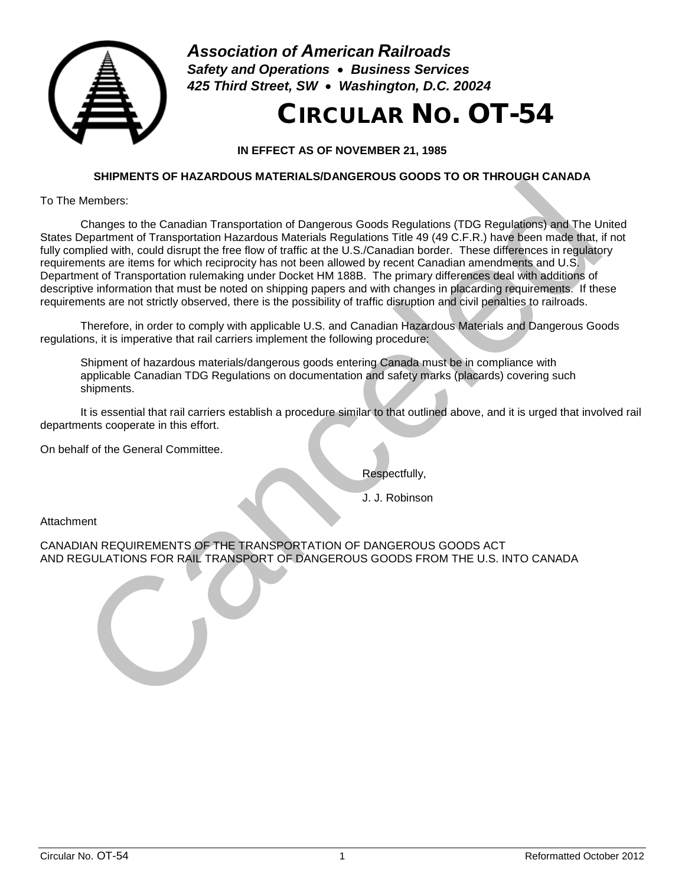

*Association of American Railroads Safety and Operations* • *Business Services 425 Third Street, SW* • *Washington, D.C. 20024*

# CIRCULAR NO. OT-54

**IN EFFECT AS OF NOVEMBER 21, 1985**

# **SHIPMENTS OF HAZARDOUS MATERIALS/DANGEROUS GOODS TO OR THROUGH CANADA**

To The Members:

Changes to the Canadian Transportation of Dangerous Goods Regulations (TDG Regulations) and The United States Department of Transportation Hazardous Materials Regulations Title 49 (49 C.F.R.) have been made that, if not fully complied with, could disrupt the free flow of traffic at the U.S./Canadian border. These differences in regulatory requirements are items for which reciprocity has not been allowed by recent Canadian amendments and U.S. Department of Transportation rulemaking under Docket HM 188B. The primary differences deal with additions of descriptive information that must be noted on shipping papers and with changes in placarding requirements. If these requirements are not strictly observed, there is the possibility of traffic disruption and civil penalties to railroads. Framewood The Canadian Transportation of Dangerous Goods Regulations (TDG Regulations) and The United School Canceled Materials Regulations (TDG Regulations) and The United School Materials Regulations (TDG Regulations) an

Therefore, in order to comply with applicable U.S. and Canadian Hazardous Materials and Dangerous Goods regulations, it is imperative that rail carriers implement the following procedure:

Shipment of hazardous materials/dangerous goods entering Canada must be in compliance with applicable Canadian TDG Regulations on documentation and safety marks (placards) covering such shipments.

It is essential that rail carriers establish a procedure similar to that outlined above, and it is urged that involved rail departments cooperate in this effort.

On behalf of the General Committee.

Respectfully,

J. J. Robinson

Attachment

CANADIAN REQUIREMENTS OF THE TRANSPORTATION OF DANGEROUS GOODS ACT AND REGULATIONS FOR RAIL TRANSPORT OF DANGEROUS GOODS FROM THE U.S. INTO CANADA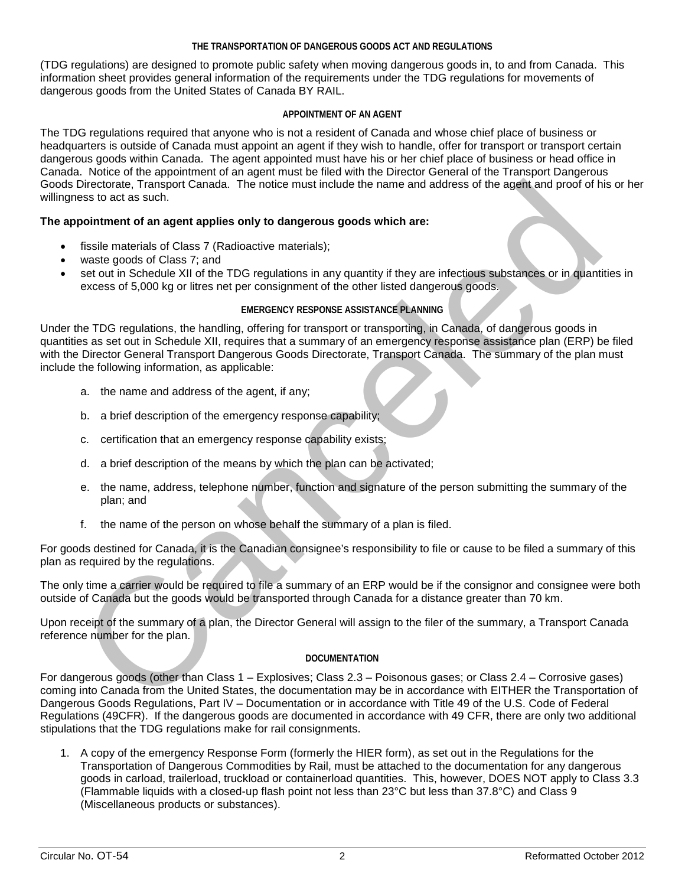## **THE TRANSPORTATION OF DANGEROUS GOODS ACT AND REGULATIONS**

(TDG regulations) are designed to promote public safety when moving dangerous goods in, to and from Canada. This information sheet provides general information of the requirements under the TDG regulations for movements of dangerous goods from the United States of Canada BY RAIL.

## **APPOINTMENT OF AN AGENT**

The TDG regulations required that anyone who is not a resident of Canada and whose chief place of business or headquarters is outside of Canada must appoint an agent if they wish to handle, offer for transport or transport certain dangerous goods within Canada. The agent appointed must have his or her chief place of business or head office in Canada. Notice of the appointment of an agent must be filed with the Director General of the Transport Dangerous Goods Directorate, Transport Canada. The notice must include the name and address of the agent and proof of his or her willingness to act as such.

# **The appointment of an agent applies only to dangerous goods which are:**

- fissile materials of Class 7 (Radioactive materials);
- waste goods of Class 7; and
- set out in Schedule XII of the TDG regulations in any quantity if they are infectious substances or in quantities in excess of 5,000 kg or litres net per consignment of the other listed dangerous goods.

## **EMERGENCY RESPONSE ASSISTANCE PLANNING**

Under the TDG regulations, the handling, offering for transport or transporting, in Canada, of dangerous goods in quantities as set out in Schedule XII, requires that a summary of an emergency response assistance plan (ERP) be filed with the Director General Transport Dangerous Goods Directorate, Transport Canada. The summary of the plan must include the following information, as applicable: Directiontal, Transport Canada. The notice must include the name and address of the agent and proof of hill<br>pointment of an agent applies only to dangerous goods which are:<br>
insile materials of Class 7 (Radioactive materia

- a. the name and address of the agent, if any;
- b. a brief description of the emergency response capability;
- c. certification that an emergency response capability exists;
- d. a brief description of the means by which the plan can be activated;
- e. the name, address, telephone number, function and signature of the person submitting the summary of the plan; and
- f. the name of the person on whose behalf the summary of a plan is filed.

For goods destined for Canada, it is the Canadian consignee's responsibility to file or cause to be filed a summary of this plan as required by the regulations.

The only time a carrier would be required to file a summary of an ERP would be if the consignor and consignee were both outside of Canada but the goods would be transported through Canada for a distance greater than 70 km.

Upon receipt of the summary of a plan, the Director General will assign to the filer of the summary, a Transport Canada reference number for the plan.

## **DOCUMENTATION**

For dangerous goods (other than Class 1 – Explosives; Class 2.3 – Poisonous gases; or Class 2.4 – Corrosive gases) coming into Canada from the United States, the documentation may be in accordance with EITHER the Transportation of Dangerous Goods Regulations, Part IV – Documentation or in accordance with Title 49 of the U.S. Code of Federal Regulations (49CFR). If the dangerous goods are documented in accordance with 49 CFR, there are only two additional stipulations that the TDG regulations make for rail consignments.

1. A copy of the emergency Response Form (formerly the HIER form), as set out in the Regulations for the Transportation of Dangerous Commodities by Rail, must be attached to the documentation for any dangerous goods in carload, trailerload, truckload or containerload quantities. This, however, DOES NOT apply to Class 3.3 (Flammable liquids with a closed-up flash point not less than 23°C but less than 37.8°C) and Class 9 (Miscellaneous products or substances).